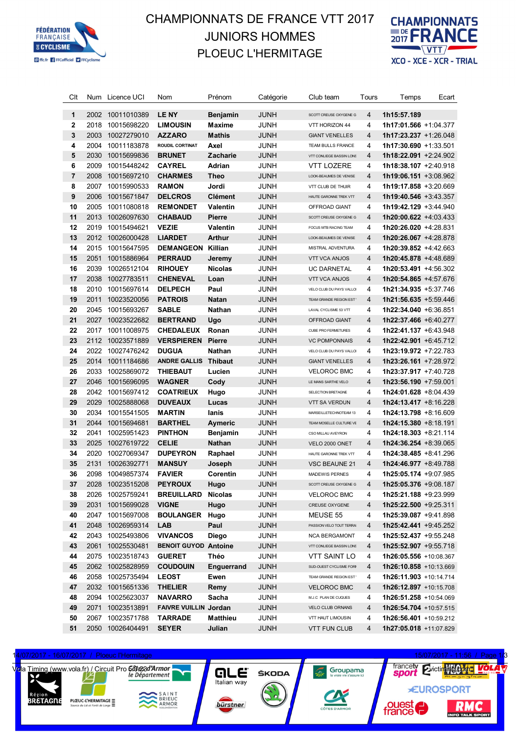

## CHAMPIONNATS DE FRANCE VTT 2017 CHAMPIONNATS JUNIORS HOMMES PLOEUC L'HERMITAGE



| Clt              |      | Num Licence UCI  | Nom                          | Prénom          | Catégorie   | Club team                  | Tours          | Temps                         | Ecart |
|------------------|------|------------------|------------------------------|-----------------|-------------|----------------------------|----------------|-------------------------------|-------|
|                  |      |                  |                              |                 |             |                            |                |                               |       |
| 1                | 2002 | 10011010389      | <b>LENY</b>                  | <b>Benjamin</b> | <b>JUNH</b> | SCOTT CREUSE OXYGENE G     | 4              | 1h15:57.189                   |       |
| 2                | 2018 | 10015698220      | <b>LIMOUSIN</b>              | <b>Maxime</b>   | JUNH        | VTT HORIZON 44             | 4              | 1h17:01.566 +1:04.377         |       |
| 3                | 2003 | 10027279010      | <b>AZZARO</b>                | <b>Mathis</b>   | <b>JUNH</b> | <b>GIANT VENELLES</b>      | 4              | $1h17:23.237 +1:26.048$       |       |
| 4                | 2004 | 10011183878      | <b>ROUDIL CORTINAT</b>       | Axel            | <b>JUNH</b> | TEAM BULLS FRANCE          | 4              | 1h17:30.690 +1:33.501         |       |
| 5                | 2030 | 10015699836      | <b>BRUNET</b>                | Zacharie        | <b>JUNH</b> | VTT CONLIEGE BASSIN LONS   | $\overline{4}$ | 1h18:22.091 +2:24.902         |       |
| 6                | 2009 | 10015448242      | <b>CAYREL</b>                | Adrian          | <b>JUNH</b> | VTT LOZERE                 | 4              | 1h18:38.107 +2:40.918         |       |
| 7                | 2008 | 10015697210      | <b>CHARMES</b>               | <b>Theo</b>     | <b>JUNH</b> | LOOK-BEAUMES DE VENISE     | $\overline{4}$ | $1h19:06.151 + 3:08.962$      |       |
| 8                | 2007 | 10015990533      | <b>RAMON</b>                 | Jordi           | <b>JUNH</b> | VTT CLUB DE THUIR          | 4              | 1h19:17.858 +3:20.669         |       |
| $\boldsymbol{9}$ | 2006 | 10015671847      | <b>DELCROS</b>               | <b>Clément</b>  | <b>JUNH</b> | HAUTE GARONNE TREK VTT     | $\overline{4}$ | $1h19:40.546 + 3:43.357$      |       |
| 10               | 2005 | 10011080818      | <b>REMONDET</b>              | <b>Valentin</b> | <b>JUNH</b> | OFFROAD GIANT              | 4              | 1h19:42.129 +3:44.940         |       |
| 11               |      | 2013 10026097630 | <b>CHABAUD</b>               | <b>Pierre</b>   | <b>JUNH</b> | SCOTT CREUSE OXYGENE G     | $\overline{4}$ | 1h20:00.622 +4:03.433         |       |
| 12               | 2019 | 10015494621      | <b>VEZIE</b>                 | <b>Valentin</b> | <b>JUNH</b> | FOCUS MTB RACING TEAM      | 4              | 1h20:26.020 +4:28.831         |       |
| 13               |      | 2012 10026000428 | <b>LIARDET</b>               | <b>Arthur</b>   | <b>JUNH</b> | LOOK-BEAUMES DE VENISE     | $\overline{4}$ | 1h20:26.067 +4:28.878         |       |
| 14               | 2015 | 10015647595      | <b>DEMANGEON Killian</b>     |                 | <b>JUNH</b> | MISTRAL ADVENTURA          | 4              | $1h20:39.852 +4:42.663$       |       |
| 15               | 2051 | 10015886964      | <b>PERRAUD</b>               | Jeremy          | <b>JUNH</b> | <b>VTT VCA ANJOS</b>       | $\overline{4}$ | 1h20:45.878 +4:48.689         |       |
| 16               | 2039 | 10026512104      | <b>RIHOUEY</b>               | <b>Nicolas</b>  | <b>JUNH</b> | <b>UC DARNETAL</b>         | 4              | 1h20:53.491 +4:56.302         |       |
| 17               | 2038 | 10027783511      | <b>CHENEVAL</b>              | Loan            | <b>JUNH</b> | <b>VTT VCA ANJOS</b>       | $\overline{4}$ | 1h20:54.865 +4:57.676         |       |
| 18               | 2010 | 10015697614      | <b>DELPECH</b>               | Paul            | <b>JUNH</b> | VELO CLUB DU PAYS VALLO    | 4              | 1h21:34.935 +5:37.746         |       |
| 19               | 2011 | 10023520056      | <b>PATROIS</b>               | <b>Natan</b>    | <b>JUNH</b> | TEAM GRANDE REGION EST     | $\overline{4}$ | $1h21:56.635 + 5:59.446$      |       |
| 20               | 2045 | 10015693267      | <b>SABLE</b>                 | <b>Nathan</b>   | <b>JUNH</b> | LAVAL CYCLISME 53 VTT      | 4              | $1h22:34.040 +6:36.851$       |       |
| 21               | 2027 | 10023522682      | <b>BERTRAND</b>              | Ugo             | <b>JUNH</b> | OFFROAD GIANT              | $\overline{4}$ | 1h22:37.466 +6:40.277         |       |
| 22               | 2017 | 10011008975      | <b>CHEDALEUX</b>             | Ronan           | <b>JUNH</b> | <b>CUBE PRO FERMETURES</b> | 4              | $1h22:41.137 + 6:43.948$      |       |
| 23               |      | 2112 10023571889 | <b>VERSPIEREN</b>            | <b>Pierre</b>   | <b>JUNH</b> | <b>VC POMPONNAIS</b>       | 4              | 1h22:42.901 +6:45.712         |       |
| 24               | 2022 | 10027476242      | <b>DUGUA</b>                 | Nathan          | <b>JUNH</b> | VELO CLUB DU PAYS VALLO    | 4              | 1h23:19.972 +7:22.783         |       |
| 25               | 2014 | 10011184686      | <b>ANDRE GALLIS Thibaut</b>  |                 | <b>JUNH</b> | <b>GIANT VENELLES</b>      | 4              | 1h23:26.161 +7:28.972         |       |
| 26               | 2033 | 10025869072      | <b>THIEBAUT</b>              | Lucien          | <b>JUNH</b> | <b>VELOROC BMC</b>         | 4              | 1h23:37.917 +7:40.728         |       |
| 27               | 2046 | 10015696095      | <b>WAGNER</b>                | Cody            | <b>JUNH</b> | LE MANS SARTHE VELO        | 4              | 1h23:56.190 +7:59.001         |       |
| 28               | 2042 | 10015697412      | <b>COATRIEUX</b>             | Hugo            | <b>JUNH</b> | SELECTION BRETAGNE         | 4              | 1h24:01.628 +8:04.439         |       |
| 29               | 2029 | 10025888068      | <b>DUVEAUX</b>               | Lucas           | <b>JUNH</b> | <b>VTT SA VERDUN</b>       | 4              | $1h24:13.417 + 8:16.228$      |       |
| 30               | 2034 | 10015541505      | <b>MARTIN</b>                | lanis           | <b>JUNH</b> | MARSEILLETECHNOTEAM 13     | 4              | 1h24:13.798 +8:16.609         |       |
| 31               | 2044 | 10015694681      | <b>BARTHEL</b>               | <b>Aymeric</b>  | <b>JUNH</b> | TEAM MOSELLE CULTURE VE    | $\overline{4}$ | 1h24:15.380 +8:18.191         |       |
| 32               | 2041 | 10025951423      | <b>PINTHON</b>               | <b>Benjamin</b> | <b>JUNH</b> | CSO MILLAU AVEYRON         | 4              | 1h24:18.303 +8:21.114         |       |
| 33               | 2025 | 10027619722      | <b>CELIE</b>                 | <b>Nathan</b>   | <b>JUNH</b> | VELO 2000 ONET             | $\overline{4}$ | $1h24:36.254 +8:39.065$       |       |
| 34               | 2020 | 10027069347      | <b>DUPEYRON</b>              | Raphael         | <b>JUNH</b> | HAUTE GARONNE TREK VTT     | 4              | 1h24:38.485 +8:41.296         |       |
| 35               | 2131 | 10026392771      | <b>MANSUY</b>                | Joseph          | <b>JUNH</b> | VSC BEAUNE 21              | $\overline{4}$ | 1h24:46.977 +8:49.788         |       |
| 36               |      | 2098 10049857374 | <b>FAVIER</b>                | Corentin        | <b>JUNH</b> | <b>MADEWIS PERNES</b>      | 4              | 1h25:05.174 +9:07.985         |       |
| 37               |      | 2028 10023515208 | <b>PEYROUX</b>               | Hugo            | <b>JUNH</b> | SCOTT CREUSE OXYGENE G     | 4              | 1h25:05.376 +9:08.187         |       |
| 38               |      | 2026 10025759241 | <b>BREUILLARD Nicolas</b>    |                 | JUNH        | <b>VELOROC BMC</b>         | 4              | 1h25:21.188 +9:23.999         |       |
| 39               |      | 2031 10015699028 | <b>VIGNE</b>                 | Hugo            | <b>JUNH</b> | CREUSE OXYGENE             | 4              | $1h25:22.500 +9:25.311$       |       |
| 40               |      | 2047 10015697008 | <b>BOULANGER Hugo</b>        |                 | JUNH        | MEUSE 55                   | 4              | 1h25:39.087 +9:41.898         |       |
| 41               |      | 2048 10026959314 | <b>LAB</b>                   | Paul            | <b>JUNH</b> | PASSION VELO TOUT TERRA    | $\overline{4}$ | $1h25:42.441 + 9:45.252$      |       |
| 42               |      | 2043 10025493806 | <b>VIVANCOS</b>              | <b>Diego</b>    | JUNH        | <b>NCA BERGAMONT</b>       | 4              | 1h25:52.437 +9:55.248         |       |
| 43               |      | 2061 10025530481 | <b>BENOIT GUYOD Antoine</b>  |                 | <b>JUNH</b> | VTT CONLIEGE BASSIN LONS   | 4              | $1h25:52.907 +9:55.718$       |       |
| 44               |      | 2075 10023518743 | <b>GUERET</b>                | Théo            | JUNH        | VTT SAINT LO               | 4              | 1h26:05.556 +10:08.367        |       |
| 45               |      | 2062 10025828959 | <b>COUDOUIN</b>              | Enguerrand      | <b>JUNH</b> | SUD-OUEST CYCLISME FOR     | 4              | <b>1h26:10.858</b> +10:13.669 |       |
| 46               |      | 2058 10025735494 | <b>LEOST</b>                 | Ewen            | <b>JUNH</b> | TEAM GRANDE REGION EST     | 4              | 1h26:11.903 +10:14.714        |       |
| 47               |      | 2032 10015651336 | <b>THELIER</b>               | Remy            | <b>JUNH</b> | <b>VELOROC BMC</b>         | 4              | 1h26:12.897 +10:15.708        |       |
| 48               |      | 2094 10025623037 | <b>NAVARRO</b>               | Sacha           | JUNH        | M.J.C PLAN DE CUQUES       | 4              | 1h26:51.258 +10:54.069        |       |
| 49               |      | 2071 10023513891 | <b>FAIVRE VUILLIN Jordan</b> |                 | <b>JUNH</b> | VELO CLUB ORNANS           | 4              | 1h26:54.704 +10:57.515        |       |
| 50               |      | 2067 10023571788 | <b>TARRADE</b>               | <b>Matthieu</b> | JUNH        | VTT HAUT LIMOUSIN          | 4              | 1h26:56.401 +10:59.212        |       |
| 51               |      | 2050 10026404491 | <b>SEYER</b>                 | Julian          | <b>JUNH</b> | <b>VTT FUN CLUB</b>        | 4              | 1h27:05.018 +11:07.829        |       |

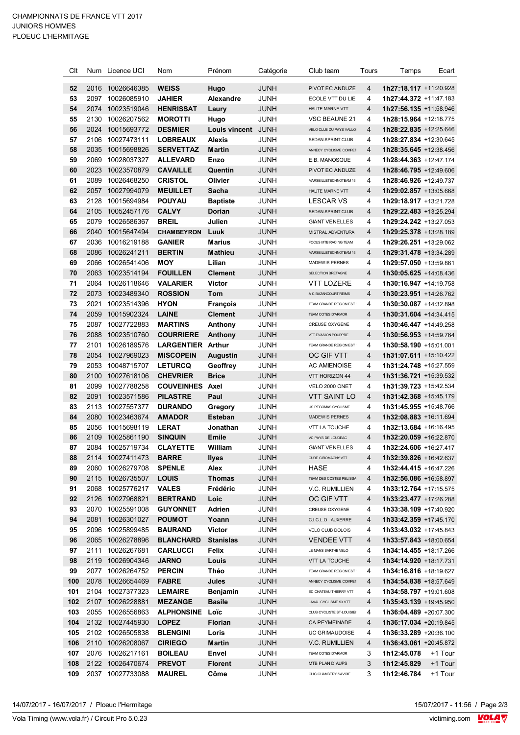| Clt      |      | Num Licence UCI                      | Nom                                 | Prénom                    | Catégorie           | Club team                                | Tours          | Temps                                                   | Ecart   |
|----------|------|--------------------------------------|-------------------------------------|---------------------------|---------------------|------------------------------------------|----------------|---------------------------------------------------------|---------|
| 52       | 2016 | 10026646385                          | <b>WEISS</b>                        | Hugo                      | <b>JUNH</b>         | PIVOT EC ANDUZE                          | 4              | 1h27:18.117 +11:20.928                                  |         |
| 53       | 2097 | 10026085910                          | <b>JAHIER</b>                       | <b>Alexandre</b>          | <b>JUNH</b>         | ECOLE VTT DU LIE                         | 4              | 1h27:44.372 +11:47.183                                  |         |
| 54       | 2074 | 10023519046                          | <b>HENRISSAT</b>                    | Laury                     | <b>JUNH</b>         | HAUTE MARNE VTT                          | 4              | 1h27:56.135 +11:58.946                                  |         |
| 55       | 2130 | 10026207562                          | <b>MOROTTI</b>                      | Hugo                      | <b>JUNH</b>         | VSC BEAUNE 21                            | 4              | 1h28:15.964 +12:18.775                                  |         |
| 56       | 2024 | 10015693772                          | <b>DESMIER</b>                      | Louis vincent             | <b>JUNH</b>         | VELO CLUB DU PAYS VALLO                  | $\overline{4}$ | 1h28:22.835 +12:25.646                                  |         |
| 57       | 2106 | 10027473111                          | <b>LOBREAUX</b>                     | <b>Alexis</b>             | JUNH                | SEDAN SPRINT CLUB                        | 4              | 1h28:27.834 +12:30.645                                  |         |
| 58       | 2035 | 10015698826                          | <b>SERVETTAZ</b>                    | <b>Martin</b>             | <b>JUNH</b>         | ANNECY CYCLISME COMPET                   | $\overline{4}$ | 1h28:35.645 +12:38.456                                  |         |
| 59       | 2069 | 10028037327                          | <b>ALLEVARD</b>                     | Enzo                      | JUNH                | E.B. MANOSQUE                            | 4              | 1h28:44.363 +12:47.174                                  |         |
| 60       | 2023 | 10023570879                          | <b>CAVAILLE</b>                     | Quentin                   | <b>JUNH</b>         | PIVOT EC ANDUZE                          | 4              | 1h28:46.795 +12:49.606                                  |         |
| 61       | 2089 | 10026468250                          | <b>CRISTOL</b>                      | Olivier                   | JUNH                | MARSEILLETECHNOTEAM 13                   | 4              | 1h28:46.926 +12:49.737                                  |         |
| 62       | 2057 | 10027994079                          | <b>MEUILLET</b>                     | Sacha                     | <b>JUNH</b>         | HAUTE MARNE VTT                          | $\overline{4}$ | 1h29:02.857 +13:05.668                                  |         |
| 63       | 2128 | 10015694984                          | <b>POUYAU</b>                       | <b>Baptiste</b>           | JUNH                | <b>LESCAR VS</b>                         | 4              | 1h29:18.917 +13:21.728                                  |         |
| 64       | 2105 | 10052457176                          | <b>CALVY</b>                        | Dorian                    | <b>JUNH</b>         | SEDAN SPRINT CLUB                        | 4              | 1h29:22.483 +13:25.294                                  |         |
| 65       | 2079 | 10026586367                          | <b>BREIL</b>                        | Julien                    | JUNH                | <b>GIANT VENELLES</b>                    | 4              | 1h29:24.242 +13:27.053                                  |         |
| 66       | 2040 | 10015647494                          | <b>CHAMBEYRON</b>                   | Luuk                      | <b>JUNH</b>         | MISTRAL ADVENTURA                        | 4              | 1h29:25.378 +13:28.189                                  |         |
| 67       | 2036 | 10016219188                          | <b>GANIER</b>                       | <b>Marius</b>             | JUNH                | FOCUS MTB RACING TEAM                    | 4              | 1h29:26.251 +13:29.062                                  |         |
| 68       | 2086 | 10026241211                          | <b>BERTIN</b>                       | <b>Mathieu</b>            | <b>JUNH</b>         | MARSEILLETECHNOTEAM 13                   | 4              | 1h29:31.478 +13:34.289                                  |         |
| 69       | 2066 | 10026541406                          | <b>MOY</b>                          | Lilian                    | <b>JUNH</b>         | MADEWIS PERNES                           | 4              | 1h29:57.050 +13:59.861                                  |         |
| 70       | 2063 | 10023514194                          | <b>FOUILLEN</b>                     | <b>Clement</b>            | <b>JUNH</b>         | SELECTION BRETAGNE                       | 4              | 1h30:05.625 +14:08.436                                  |         |
| 71       | 2064 | 10026118646                          | <b>VALARIER</b>                     | <b>Victor</b>             | JUNH                | VTT LOZERE                               | 4              | 1h30:16.947 +14:19.758                                  |         |
| 72       | 2073 | 10023489340                          | <b>ROSSION</b>                      | Tom                       | <b>JUNH</b>         | A C BAZANCOURT REIMS                     | 4              | 1h30:23.951 +14:26.762                                  |         |
| 73       | 2021 | 10023514396                          | <b>HYON</b>                         | <b>François</b>           | JUNH                | TEAM GRANDE REGION EST                   | 4              | 1h30:30.087 +14:32.898                                  |         |
| 74       | 2059 | 10015902324                          | <b>LAINE</b>                        | <b>Clement</b>            | <b>JUNH</b>         | TEAM COTES D'ARMOR                       | 4              | 1h30:31.604 +14:34.415                                  |         |
| 75       | 2087 | 10027722883                          | <b>MARTINS</b>                      | Anthony                   | JUNH                | CREUSE OXYGENE                           | 4              | 1h30:46.447 +14:49.258                                  |         |
| 76       | 2088 | 10023510760                          | <b>COURRIERE</b>                    | Anthony                   | <b>JUNH</b>         | VTT EVASION POURPRE                      | 4              | 1h30:56.953 +14:59.764                                  |         |
| 77       | 2101 | 10026189576                          | <b>LARGENTIER Arthur</b>            |                           | <b>JUNH</b>         | TEAM GRANDE REGION EST                   | 4              | 1h30:58.190 +15:01.001                                  |         |
| 78       | 2054 | 10027969023                          | <b>MISCOPEIN</b>                    | Augustin                  | <b>JUNH</b>         | OC GIF VTT                               | 4              | 1h31:07.611 +15:10.422                                  |         |
| 79       | 2053 | 10048715707                          | <b>LETURCQ</b>                      | Geoffrey                  | <b>JUNH</b>         | <b>AC AMIENOISE</b>                      | 4              | 1h31:24.748 +15:27.559                                  |         |
| 80       | 2100 | 10027618106                          | <b>CHEVRIER</b>                     | <b>Brice</b>              | <b>JUNH</b>         | VTT HORIZON 44                           | 4              | 1h31:36.721 +15:39.532                                  |         |
| 81       | 2099 | 10027788258                          | <b>COUVEINHES Axel</b>              |                           | <b>JUNH</b>         | VELO 2000 ONET                           | 4              | 1h31:39.723 +15:42.534                                  |         |
| 82       | 2091 | 10023571586                          | <b>PILASTRE</b>                     | Paul                      | <b>JUNH</b>         | <b>VTT SAINT LO</b>                      | $\overline{4}$ | 1h31:42.368 +15:45.179                                  |         |
| 83       | 2113 | 10027557377                          | <b>DURANDO</b>                      | Gregory                   | <b>JUNH</b>         | US PEGOMAS CYCLISME                      | 4              | 1h31:45.955 +15:48.766                                  |         |
| 84       | 2080 | 10023463674                          | <b>AMADOR</b>                       | <b>Esteban</b>            | <b>JUNH</b>         | MADEWIS PERNES                           | $\overline{4}$ | 1h32:08.883 +16:11.694                                  |         |
| 85       | 2056 | 10015698119                          | <b>LERAT</b>                        | Jonathan                  | <b>JUNH</b>         | <b>VTT LA TOUCHE</b>                     | 4              | 1h32:13.684 +16:16.495                                  |         |
| 86       | 2109 | 10025861190                          | <b>SINQUIN</b>                      | Emile                     | <b>JUNH</b>         | VC PAYS DE LOUDEAC                       | $\overline{4}$ | 1h32:20.059 +16:22.870                                  |         |
| 87       |      | 2084 10025719734                     | <b>CLAYETTE</b>                     | William                   | JUNH                | <b>GIANT VENELLES</b>                    | 4              | 1h32:24.606 +16:27.417                                  |         |
| 88       |      | 2114 10027411473                     | <b>BARRE</b>                        | <b>Ilyes</b>              | <b>JUNH</b>         | CUBE GIROMAGNY VTT                       | 4              | 1h32:39.826 +16:42.637                                  |         |
| 89       |      | 2060 10026279708                     | <b>SPENLE</b>                       | Alex                      | JUNH                | HASE                                     | 4              | 1h32:44.415 +16:47.226                                  |         |
| 90       |      | 2115 10026735507                     | <b>LOUIS</b>                        | <b>Thomas</b>             | <b>JUNH</b>         | TEAM DES COSTES PELISSA                  | 4              | <b>1h32:56.086</b> +16:58.897                           |         |
|          |      |                                      |                                     |                           |                     |                                          |                |                                                         |         |
| 91<br>92 |      | 2068 10025776217<br>2126 10027968821 | <b>VALES</b><br><b>BERTRAND</b>     | Frédéric<br>Loic          | JUNH<br><b>JUNH</b> | V.C. RUMILLIEN<br>OC GIF VTT             | 4<br>4         | 1h33:12.764 +17:15.575<br><b>1h33:23.477</b> +17:26.288 |         |
| 93       | 2070 | 10025591008                          | <b>GUYONNET</b>                     | Adrien                    | JUNH                | CREUSE OXYGENE                           | 4              | 1h33:38.109 +17:40.920                                  |         |
| 94       | 2081 | 10026301027                          | <b>POUMOT</b>                       | Yoann                     | <b>JUNH</b>         | C.I.C.L.O AUXERRE                        | 4              | 1h33:42.359 +17:45.170                                  |         |
| 95       |      | 2096 10025899485                     | <b>BAURAND</b>                      | <b>Victor</b>             | <b>JUNH</b>         | VELO CLUB DOLOIS                         | 4              | 1h33:43.032 +17:45.843                                  |         |
| 96       |      |                                      |                                     |                           |                     |                                          | 4              | 1h33:57.843 +18:00.654                                  |         |
| 97       |      | 2065 10026278896<br>2111 10026267681 | <b>BLANCHARD</b><br><b>CARLUCCI</b> | <b>Stanislas</b><br>Felix | JUNH<br>JUNH        | <b>VENDEE VTT</b><br>LE MANS SARTHE VELO | 4              | 1h34:14.455 +18:17.266                                  |         |
| 98       |      |                                      |                                     |                           |                     |                                          | 4              |                                                         |         |
|          |      | 2119 10026904346                     | <b>JARNO</b>                        | Louis                     | JUNH                | <b>VTT LA TOUCHE</b>                     |                | 1h34:14.920 +18:17.731                                  |         |
| 99       |      | 2077 10026264752                     | <b>PERCIN</b>                       | Théo                      | JUNH                | TEAM GRANDE REGION EST                   | 4              | 1h34:16.816 +18:19.627                                  |         |
| 100      |      | 2078 10026654469                     | <b>FABRE</b>                        | Jules                     | JUNH                | ANNECY CYCLISME COMPET                   | 4              | 1h34:54.838 +18:57.649                                  |         |
| 101      |      | 2104 10027377323                     | <b>LEMAIRE</b>                      | Benjamin                  | JUNH                | EC CHATEAU THIERRY VTT                   | 4              | 1h34:58.797 +19:01.608                                  |         |
| 102      |      | 2107 10026228881                     | <b>MEZANGE</b>                      | <b>Basile</b>             | JUNH                | LAVAL CYCLISME 53 VTT                    | 4              | 1h35:43.139 +19:45.950                                  |         |
| 103      |      | 2055 10026556863                     | ALPHONSINE                          | Loïc                      | JUNH                | CLUB CYCLISTE ST-LOUISIE!                | 4              | 1h36:04.489 +20:07.300                                  |         |
| 104      |      | 2132 10027445930                     | <b>LOPEZ</b>                        | <b>Florian</b>            | JUNH                | CA PEYMEINADE                            | 4              | 1h36:17.034 +20:19.845                                  |         |
| 105      |      | 2102 10026505838                     | <b>BLENGINI</b>                     | Loris                     | JUNH                | UC GRIMAUDOISE                           | 4              | 1h36:33.289 +20:36.100                                  |         |
| 106      |      | 2110 10026208067                     | <b>CIRIEGO</b>                      | Martin                    | JUNH                | V.C. RUMILLIEN                           | 4              | 1h36:43.061 +20:45.872                                  |         |
| 107      |      | 2076 10026217161                     | <b>BOILEAU</b>                      | Envel                     | <b>JUNH</b>         | TEAM COTES D'ARMOR                       | 3              | 1h12:45.078                                             | +1 Tour |
| 108      |      | 2122 10026470674                     | <b>PREVOT</b>                       | <b>Florent</b>            | <b>JUNH</b>         | MTB PLAN D'AUPS                          | 3              | 1h12:45.829                                             | +1 Tour |
| 109      |      | 2037 10027733088                     | <b>MAUREL</b>                       | Côme                      | <b>JUNH</b>         | CLIC CHAMBERY SAVOIE                     | 3              | 1h12:46.784                                             | +1 Tour |